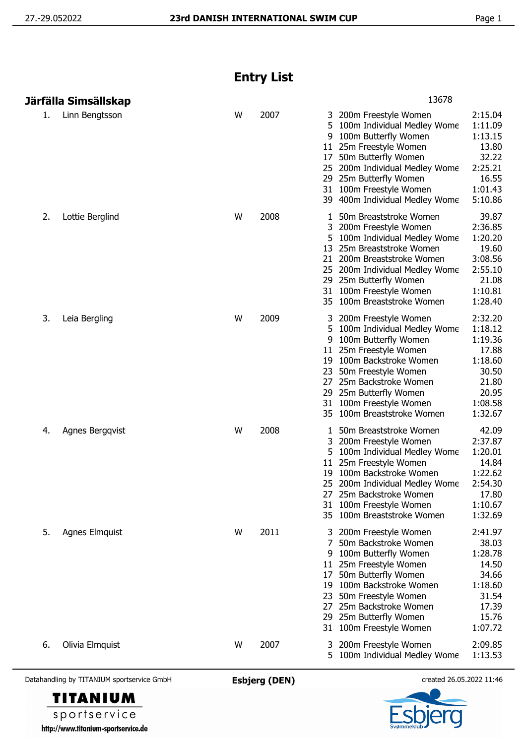## **Entry List**

|    | Järfälla Simsällskap |   |      | 13678                                                                                                                                                                                                                                                                                                                                                                                               |
|----|----------------------|---|------|-----------------------------------------------------------------------------------------------------------------------------------------------------------------------------------------------------------------------------------------------------------------------------------------------------------------------------------------------------------------------------------------------------|
| 1. | Linn Bengtsson       | W | 2007 | 2:15.04<br>200m Freestyle Women<br>3<br>1:11.09<br>5<br>100m Individual Medley Wome<br>1:13.15<br>100m Butterfly Women<br>9<br>11 25m Freestyle Women<br>13.80<br>32.22<br>50m Butterfly Women<br>17<br>2:25.21<br>25 200m Individual Medley Wome<br>16.55<br>29 25m Butterfly Women<br>100m Freestyle Women<br>1:01.43<br>31<br>5:10.86<br>39 400m Individual Medley Wome                          |
| 2. | Lottie Berglind      | W | 2008 | 39.87<br>50m Breaststroke Women<br>1<br>2:36.85<br>3<br>200m Freestyle Women<br>1:20.20<br>5<br>100m Individual Medley Wome<br>13 25m Breaststroke Women<br>19.60<br>3:08.56<br>21<br>200m Breaststroke Women<br>2:55.10<br>25 200m Individual Medley Wome<br>21.08<br>29 25m Butterfly Women<br>31 100m Freestyle Women<br>1:10.81<br>1:28.40<br>35 100m Breaststroke Women                        |
| 3. | Leia Bergling        | W | 2009 | 2:32.20<br>200m Freestyle Women<br>1:18.12<br>5.<br>100m Individual Medley Wome<br>1:19.36<br>100m Butterfly Women<br>9<br>11 25m Freestyle Women<br>17.88<br>100m Backstroke Women<br>1:18.60<br>19<br>30.50<br>23<br>50m Freestyle Women<br>27 25m Backstroke Women<br>21.80<br>25m Butterfly Women<br>20.95<br>29<br>1:08.58<br>31 100m Freestyle Women<br>1:32.67<br>35 100m Breaststroke Women |
| 4. | Agnes Bergqvist      | W | 2008 | 42.09<br>50m Breaststroke Women<br>1<br>2:37.87<br>200m Freestyle Women<br>1:20.01<br>100m Individual Medley Wome<br>25m Freestyle Women<br>14.84<br>11<br>1:22.62<br>100m Backstroke Women<br>19<br>2:54.30<br>25 200m Individual Medley Wome<br>17.80<br>27 25m Backstroke Women<br>1:10.67<br>100m Freestyle Women<br>31<br>1:32.69<br>100m Breaststroke Women<br>35                             |
| 5. | Agnes Elmquist       | W | 2011 | 2:41.97<br>3 200m Freestyle Women<br>50m Backstroke Women<br>38.03<br>7<br>1:28.78<br>100m Butterfly Women<br>14.50<br>11 25m Freestyle Women<br>50m Butterfly Women<br>34.66<br>17<br>1:18.60<br>100m Backstroke Women<br>19<br>50m Freestyle Women<br>31.54<br>23<br>25m Backstroke Women<br>17.39<br>27<br>25m Butterfly Women<br>15.76<br>29<br>1:07.72<br>31 100m Freestyle Women              |
| 6. | Olivia Elmquist      | W | 2007 | 2:09.85<br>200m Freestyle Women<br>3<br>100m Individual Medley Wome<br>1:13.53<br>5                                                                                                                                                                                                                                                                                                                 |

Datahandling by TITANIUM sportservice GmbH **Esbjerg (DEN)** created 26.05.2022 11:46



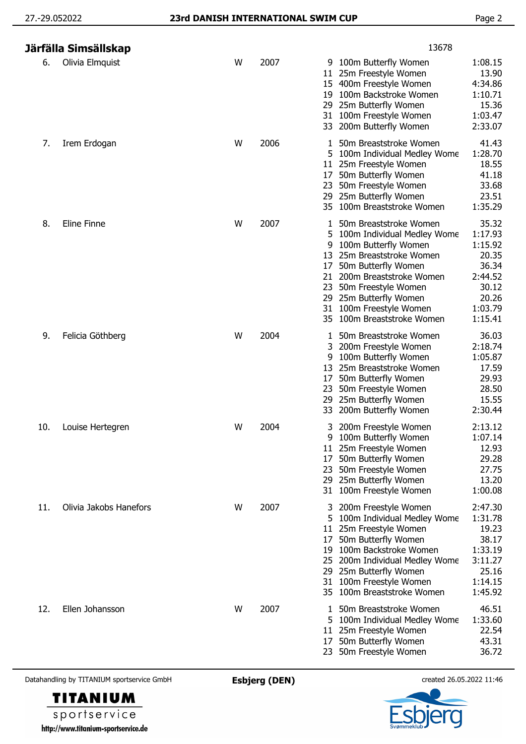|     | Järfälla Simsällskap   |   |      | 13678                                                                                                                                                                                                                                                                                                                                                                                                                |
|-----|------------------------|---|------|----------------------------------------------------------------------------------------------------------------------------------------------------------------------------------------------------------------------------------------------------------------------------------------------------------------------------------------------------------------------------------------------------------------------|
| 6.  | Olivia Elmquist        | W | 2007 | 1:08.15<br>9 100m Butterfly Women<br>13.90<br>25m Freestyle Women<br>11.<br>15 400m Freestyle Women<br>4:34.86<br>100m Backstroke Women<br>1:10.71<br>19<br>15.36<br>25m Butterfly Women<br>1:03.47<br>31 100m Freestyle Women<br>2:33.07<br>33 200m Butterfly Women                                                                                                                                                 |
| 7.  | Irem Erdogan           | W | 2006 | 41.43<br>50m Breaststroke Women<br>1:28.70<br>100m Individual Medley Wome<br>18.55<br>25m Freestyle Women<br>11.<br>50m Butterfly Women<br>41.18<br>17<br>33.68<br>50m Freestyle Women<br>23<br>25m Butterfly Women<br>23.51<br>29.<br>1:35.29<br>100m Breaststroke Women<br>35.                                                                                                                                     |
| 8.  | Eline Finne            | W | 2007 | 35.32<br>50m Breaststroke Women<br>1<br>1:17.93<br>5<br>100m Individual Medley Wome<br>1:15.92<br>100m Butterfly Women<br>9<br>20.35<br>25m Breaststroke Women<br>13<br>36.34<br>50m Butterfly Women<br>17<br>2:44.52<br>200m Breaststroke Women<br>21<br>30.12<br>50m Freestyle Women<br>23<br>20.26<br>29 25m Butterfly Women<br>1:03.79<br>100m Freestyle Women<br>31<br>1:15.41<br>100m Breaststroke Women<br>35 |
| 9.  | Felicia Göthberg       | W | 2004 | 36.03<br>50m Breaststroke Women<br>1<br>200m Freestyle Women<br>2:18.74<br>3<br>100m Butterfly Women<br>1:05.87<br>9<br>25m Breaststroke Women<br>17.59<br>13<br>29.93<br>50m Butterfly Women<br>17<br>28.50<br>23 50m Freestyle Women<br>15.55<br>29 25m Butterfly Women<br>2:30.44<br>200m Butterfly Women<br>33                                                                                                   |
| 10. | Louise Hertegren       | W | 2004 | 2:13.12<br>3 200m Freestyle Women<br>9 100m Butterfly Women<br>1:07.14<br>12.93<br>11 25m Freestyle Women<br>29.28<br>50m Butterfly Women<br>17<br>27.75<br>50m Freestyle Women<br>23<br>13.20<br>29 25m Butterfly Women<br>1:00.08<br>100m Freestyle Women<br>31                                                                                                                                                    |
| 11. | Olivia Jakobs Hanefors | W | 2007 | 2:47.30<br>200m Freestyle Women<br>3<br>1:31.78<br>100m Individual Medley Wome<br>5<br>19.23<br>25m Freestyle Women<br>11<br>38.17<br>50m Butterfly Women<br>17<br>1:33.19<br>100m Backstroke Women<br>19<br>3:11.27<br>200m Individual Medley Wome<br>25.16<br>25m Butterfly Women<br>29<br>100m Freestyle Women<br>1:14.15<br>31<br>100m Breaststroke Women<br>1:45.92<br>35                                       |
| 12. | Ellen Johansson        | W | 2007 | 46.51<br>50m Breaststroke Women<br>1<br>1:33.60<br>100m Individual Medley Wome<br>22.54<br>25m Freestyle Women<br>11<br>43.31<br>50m Butterfly Women<br>17<br>36.72<br>23 50m Freestyle Women                                                                                                                                                                                                                        |



**TITANIUM**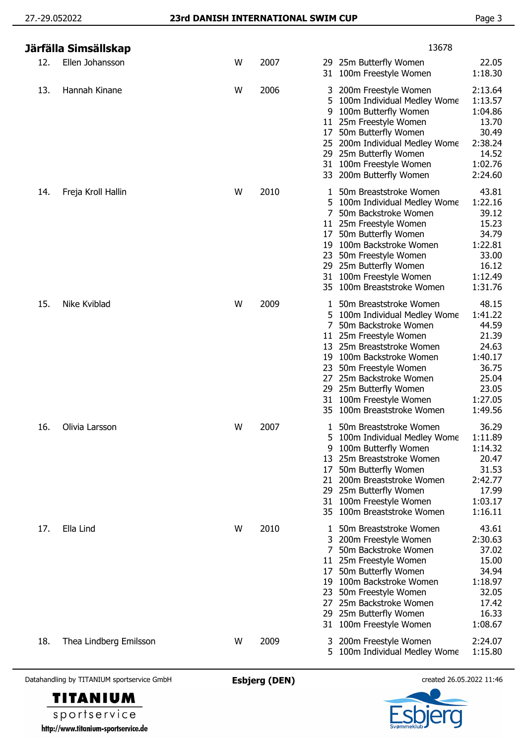|     | Järfälla Simsällskap   |   |      | 13678                                                                                                                                                                                                                                                                                                                                                                                                                                                            |  |
|-----|------------------------|---|------|------------------------------------------------------------------------------------------------------------------------------------------------------------------------------------------------------------------------------------------------------------------------------------------------------------------------------------------------------------------------------------------------------------------------------------------------------------------|--|
| 12. | Ellen Johansson        | W | 2007 | 29 25m Butterfly Women<br>22.05<br>1:18.30<br>31 100m Freestyle Women                                                                                                                                                                                                                                                                                                                                                                                            |  |
| 13. | Hannah Kinane          | W | 2006 | 2:13.64<br>200m Freestyle Women<br>3<br>1:13.57<br>100m Individual Medley Wome<br>5<br>100m Butterfly Women<br>1:04.86<br>9<br>25m Freestyle Women<br>13.70<br>11<br>30.49<br>50m Butterfly Women<br>17<br>2:38.24<br>25 200m Individual Medley Wome<br>14.52<br>29 25m Butterfly Women<br>31 100m Freestyle Women<br>1:02.76<br>200m Butterfly Women<br>2:24.60<br>33                                                                                           |  |
| 14. | Freja Kroll Hallin     | W | 2010 | 43.81<br>50m Breaststroke Women<br>1<br>1:22.16<br>100m Individual Medley Wome<br>5<br>39.12<br>50m Backstroke Women<br>15.23<br>25m Freestyle Women<br>11<br>34.79<br>50m Butterfly Women<br>17<br>100m Backstroke Women<br>1:22.81<br>19<br>33.00<br>50m Freestyle Women<br>23<br>25m Butterfly Women<br>16.12<br>29<br>100m Freestyle Women<br>1:12.49<br>31<br>1:31.76<br>100m Breaststroke Women<br>35                                                      |  |
| 15. | Nike Kviblad           | W | 2009 | 48.15<br>50m Breaststroke Women<br>$\mathbf{1}$<br>100m Individual Medley Wome<br>1:41.22<br>5.<br>44.59<br>7<br>50m Backstroke Women<br>21.39<br>11 25m Freestyle Women<br>25m Breaststroke Women<br>24.63<br>13<br>1:40.17<br>100m Backstroke Women<br>19<br>36.75<br>50m Freestyle Women<br>23<br>25m Backstroke Women<br>25.04<br>27<br>23.05<br>25m Butterfly Women<br>29<br>1:27.05<br>31 100m Freestyle Women<br>100m Breaststroke Women<br>1:49.56<br>35 |  |
| 16. | Olivia Larsson         | W | 2007 | 36.29<br>50m Breaststroke Women<br>$\mathbf{1}$<br>5 100m Individual Medley Wome<br>1:11.89<br>1:14.32<br>100m Butterfly Women<br>9<br>20.47<br>25m Breaststroke Women<br>13<br>31.53<br>50m Butterfly Women<br>17<br>2:42.77<br>200m Breaststroke Women<br>21<br>17.99<br>29 25m Butterfly Women<br>1:03.17<br>31 100m Freestyle Women<br>1:16.11<br>35 100m Breaststroke Women                                                                                 |  |
| 17. | Ella Lind              | W | 2010 | 43.61<br>50m Breaststroke Women<br>1<br>2:30.63<br>200m Freestyle Women<br>37.02<br>50m Backstroke Women<br>7<br>15.00<br>11 25m Freestyle Women<br>34.94<br>50m Butterfly Women<br>17<br>100m Backstroke Women<br>1:18.97<br>19<br>32.05<br>23<br>50m Freestyle Women<br>25m Backstroke Women<br>17.42<br>27<br>16.33<br>25m Butterfly Women<br>29<br>1:08.67<br>31 100m Freestyle Women                                                                        |  |
| 18. | Thea Lindberg Emilsson | W | 2009 | 2:24.07<br>200m Freestyle Women<br>3<br>1:15.80<br>100m Individual Medley Wome<br>5.                                                                                                                                                                                                                                                                                                                                                                             |  |



**TITANIUM**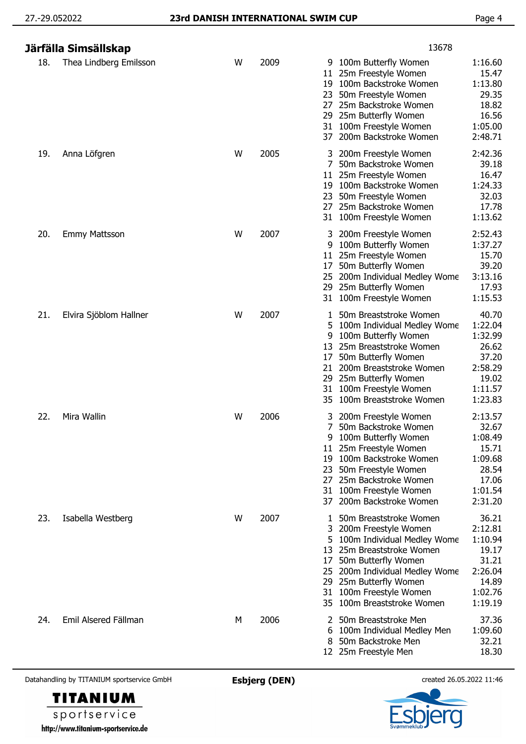|     | Järfälla Simsällskap   |   |      | 13678                                                                                                                                                                                                                                                                                  |                                                                                         |
|-----|------------------------|---|------|----------------------------------------------------------------------------------------------------------------------------------------------------------------------------------------------------------------------------------------------------------------------------------------|-----------------------------------------------------------------------------------------|
| 18. | Thea Lindberg Emilsson | W | 2009 | 9 100m Butterfly Women<br>25m Freestyle Women<br>11<br>100m Backstroke Women<br>19<br>50m Freestyle Women<br>23<br>25m Backstroke Women<br>27<br>25m Butterfly Women<br>29<br>100m Freestyle Women<br>31<br>200m Backstroke Women<br>37                                                | 1:16.60<br>15.47<br>1:13.80<br>29.35<br>18.82<br>16.56<br>1:05.00<br>2:48.71            |
| 19. | Anna Löfgren           | W | 2005 | 3 200m Freestyle Women<br>7<br>50m Backstroke Women<br>25m Freestyle Women<br>11<br>100m Backstroke Women<br>19.<br>50m Freestyle Women<br>23<br>25m Backstroke Women<br>27<br>31 100m Freestyle Women                                                                                 | 2:42.36<br>39.18<br>16.47<br>1:24.33<br>32.03<br>17.78<br>1:13.62                       |
| 20. | <b>Emmy Mattsson</b>   | W | 2007 | 200m Freestyle Women<br>3<br>100m Butterfly Women<br>9<br>25m Freestyle Women<br>11<br>50m Butterfly Women<br>17<br>200m Individual Medley Wome<br>25.<br>25m Butterfly Women<br>29.<br>100m Freestyle Women<br>31                                                                     | 2:52.43<br>1:37.27<br>15.70<br>39.20<br>3:13.16<br>17.93<br>1:15.53                     |
| 21. | Elvira Sjöblom Hallner | W | 2007 | 50m Breaststroke Women<br>1<br>5<br>100m Individual Medley Wome<br>100m Butterfly Women<br>9<br>25m Breaststroke Women<br>13<br>50m Butterfly Women<br>17<br>200m Breaststroke Women<br>21<br>25m Butterfly Women<br>29<br>100m Freestyle Women<br>31<br>100m Breaststroke Women<br>35 | 40.70<br>1:22.04<br>1:32.99<br>26.62<br>37.20<br>2:58.29<br>19.02<br>1:11.57<br>1:23.83 |
| 22. | Mira Wallin            | W | 2006 | 200m Freestyle Women<br>3<br>7<br>50m Backstroke Women<br>9 100m Butterfly Women<br>11 25m Freestyle Women<br>100m Backstroke Women<br>19<br>50m Freestyle Women<br>23<br>25m Backstroke Women<br>27<br>31 100m Freestyle Women<br>200m Backstroke Women<br>37                         | 2:13.57<br>32.67<br>1:08.49<br>15.71<br>1:09.68<br>28.54<br>17.06<br>1:01.54<br>2:31.20 |
| 23. | Isabella Westberg      | W | 2007 | 50m Breaststroke Women<br>200m Freestyle Women<br>3<br>100m Individual Medley Wome<br>5<br>25m Breaststroke Women<br>13<br>50m Butterfly Women<br>17<br>25 200m Individual Medley Wome<br>29 25m Butterfly Women<br>100m Freestyle Women<br>31<br>100m Breaststroke Women              | 36.21<br>2:12.81<br>1:10.94<br>19.17<br>31.21<br>2:26.04<br>14.89<br>1:02.76<br>1:19.19 |
| 24. | Emil Alsered Fällman   | M | 2006 | 50m Breaststroke Men<br>100m Individual Medley Men<br>6<br>50m Backstroke Men<br>8<br>12 25m Freestyle Men                                                                                                                                                                             | 37.36<br>1:09.60<br>32.21<br>18.30                                                      |

**TITANIUM** sportservice

http://www.titanium-sportservice.de

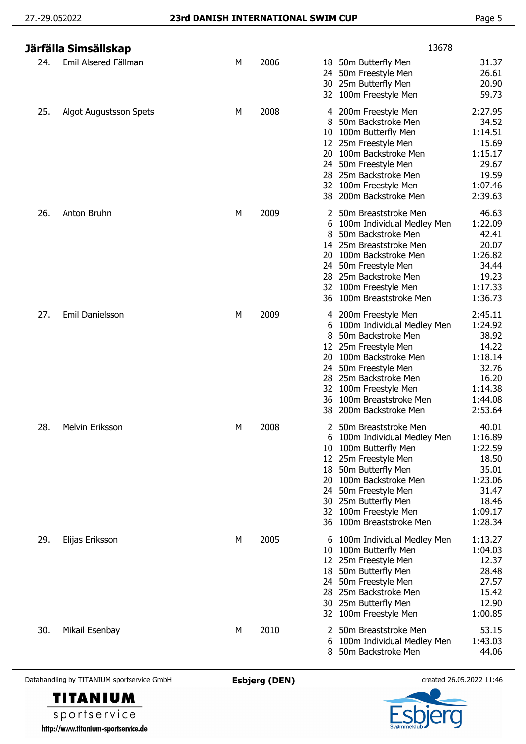|     | Järfälla Simsällskap   |   |      | 13678                                                                                                                                                                                                                                                                                |                                                                                                    |
|-----|------------------------|---|------|--------------------------------------------------------------------------------------------------------------------------------------------------------------------------------------------------------------------------------------------------------------------------------------|----------------------------------------------------------------------------------------------------|
| 24. | Emil Alsered Fällman   | М | 2006 | 18 50m Butterfly Men<br>50m Freestyle Men<br>24.<br>30 25m Butterfly Men<br>32 100m Freestyle Men                                                                                                                                                                                    | 31.37<br>26.61<br>20.90<br>59.73                                                                   |
| 25. | Algot Augustsson Spets | М | 2008 | 200m Freestyle Men<br>4<br>50m Backstroke Men<br>8<br>100m Butterfly Men<br>10<br>12 25m Freestyle Men<br>20 100m Backstroke Men<br>50m Freestyle Men<br>24<br>28 25m Backstroke Men<br>32 100m Freestyle Men<br>200m Backstroke Men<br>38                                           | 2:27.95<br>34.52<br>1:14.51<br>15.69<br>1:15.17<br>29.67<br>19.59<br>1:07.46<br>2:39.63            |
| 26. | Anton Bruhn            | М | 2009 | 50m Breaststroke Men<br>100m Individual Medley Men<br>6<br>8<br>50m Backstroke Men<br>14 25m Breaststroke Men<br>20<br>100m Backstroke Men<br>50m Freestyle Men<br>24<br>28 25m Backstroke Men<br>32 100m Freestyle Men<br>100m Breaststroke Men<br>36                               | 46.63<br>1:22.09<br>42.41<br>20.07<br>1:26.82<br>34.44<br>19.23<br>1:17.33<br>1:36.73              |
| 27. | Emil Danielsson        | М | 2009 | 4 200m Freestyle Men<br>100m Individual Medley Men<br>50m Backstroke Men<br>25m Freestyle Men<br>12<br>20 100m Backstroke Men<br>50m Freestyle Men<br>24<br>28<br>25m Backstroke Men<br>32 100m Freestyle Men<br>100m Breaststroke Men<br>36<br>38 200m Backstroke Men               | 2:45.11<br>1:24.92<br>38.92<br>14.22<br>1:18.14<br>32.76<br>16.20<br>1:14.38<br>1:44.08<br>2:53.64 |
| 28. | Melvin Eriksson        | м | 2008 | 50m Breaststroke Men<br>6 100m Individual Medley Men<br>100m Butterfly Men<br>10<br>25m Freestyle Men<br>12<br>50m Butterfly Men<br>18<br>100m Backstroke Men<br>20<br>50m Freestyle Men<br>24<br>25m Butterfly Men<br>30<br>100m Freestyle Men<br>32<br>100m Breaststroke Men<br>36 | 40.01<br>1:16.89<br>1:22.59<br>18.50<br>35.01<br>1:23.06<br>31.47<br>18.46<br>1:09.17<br>1:28.34   |
| 29. | Elijas Eriksson        | M | 2005 | 6 100m Individual Medley Men<br>100m Butterfly Men<br>10<br>12 25m Freestyle Men<br>50m Butterfly Men<br>18<br>50m Freestyle Men<br>24.<br>25m Backstroke Men<br>28<br>30 25m Butterfly Men<br>32 100m Freestyle Men                                                                 | 1:13.27<br>1:04.03<br>12.37<br>28.48<br>27.57<br>15.42<br>12.90<br>1:00.85                         |
| 30. | Mikail Esenbay         | М | 2010 | 50m Breaststroke Men<br>2<br>100m Individual Medley Men<br>6<br>50m Backstroke Men<br>8                                                                                                                                                                                              | 53.15<br>1:43.03<br>44.06                                                                          |



sportservice http://www.titanium-sportservice.de

**TITANIUM**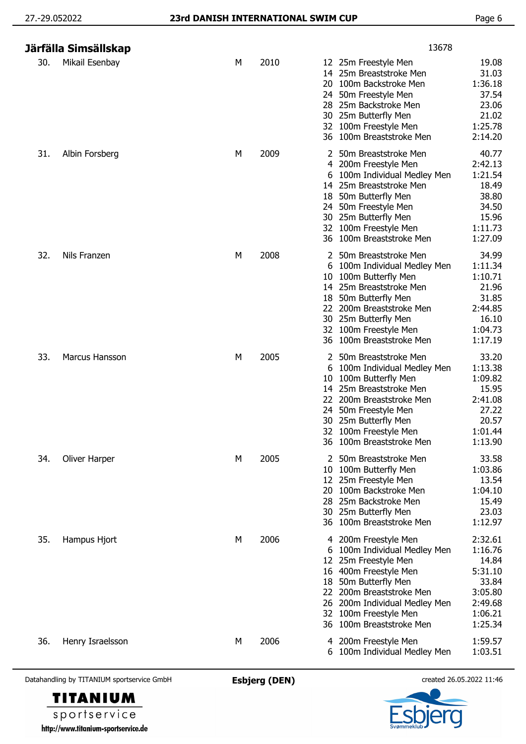|     | Järfälla Simsällskap |   |      |                                            | 13678                                                                                                                                                                                                                              |                                                                                             |
|-----|----------------------|---|------|--------------------------------------------|------------------------------------------------------------------------------------------------------------------------------------------------------------------------------------------------------------------------------------|---------------------------------------------------------------------------------------------|
| 30. | Mikail Esenbay       | М | 2010 | 20                                         | 12 25m Freestyle Men<br>14 25m Breaststroke Men<br>100m Backstroke Men<br>24 50m Freestyle Men<br>28 25m Backstroke Men<br>30 25m Butterfly Men<br>32 100m Freestyle Men<br>36 100m Breaststroke Men                               | 19.08<br>31.03<br>1:36.18<br>37.54<br>23.06<br>21.02<br>1:25.78<br>2:14.20                  |
| 31. | Albin Forsberg       | М | 2009 | 4                                          | 50m Breaststroke Men<br>200m Freestyle Men<br>6 100m Individual Medley Men<br>14 25m Breaststroke Men<br>18 50m Butterfly Men<br>24 50m Freestyle Men<br>30 25m Butterfly Men<br>32 100m Freestyle Men<br>36 100m Breaststroke Men | 40.77<br>2:42.13<br>1:21.54<br>18.49<br>38.80<br>34.50<br>15.96<br>1:11.73<br>1:27.09       |
| 32. | Nils Franzen         | М | 2008 | 6<br>10<br>18<br>22                        | 2 50m Breaststroke Men<br>100m Individual Medley Men<br>100m Butterfly Men<br>14 25m Breaststroke Men<br>50m Butterfly Men<br>200m Breaststroke Men<br>30 25m Butterfly Men<br>32 100m Freestyle Men<br>36 100m Breaststroke Men   | 34.99<br>1:11.34<br>1:10.71<br>21.96<br>31.85<br>2:44.85<br>16.10<br>1:04.73<br>1:17.19     |
| 33. | Marcus Hansson       | М | 2005 | 2<br>10<br>22<br>32                        | 50m Breaststroke Men<br>6 100m Individual Medley Men<br>100m Butterfly Men<br>14 25m Breaststroke Men<br>200m Breaststroke Men<br>24 50m Freestyle Men<br>30 25m Butterfly Men<br>100m Freestyle Men<br>36 100m Breaststroke Men   | 33.20<br>1:13.38<br>1:09.82<br>15.95<br>2:41.08<br>27.22<br>20.57<br>1:01.44<br>1:13.90     |
| 34. | Oliver Harper        | м | 2005 | 10<br>12<br>20<br>28.                      | 2 50m Breaststroke Men<br>100m Butterfly Men<br>25m Freestyle Men<br>100m Backstroke Men<br>25m Backstroke Men<br>30 25m Butterfly Men<br>36 100m Breaststroke Men                                                                 | 33.58<br>1:03.86<br>13.54<br>1:04.10<br>15.49<br>23.03<br>1:12.97                           |
| 35. | Hampus Hjort         | М | 2006 | 4<br>6<br>12<br>18<br>22<br>26<br>32<br>36 | 200m Freestyle Men<br>100m Individual Medley Men<br>25m Freestyle Men<br>16 400m Freestyle Men<br>50m Butterfly Men<br>200m Breaststroke Men<br>200m Individual Medley Men<br>100m Freestyle Men<br>100m Breaststroke Men          | 2:32.61<br>1:16.76<br>14.84<br>5:31.10<br>33.84<br>3:05.80<br>2:49.68<br>1:06.21<br>1:25.34 |
| 36. | Henry Israelsson     | М | 2006 | 4                                          | 200m Freestyle Men<br>6 100m Individual Medley Men                                                                                                                                                                                 | 1:59.57<br>1:03.51                                                                          |



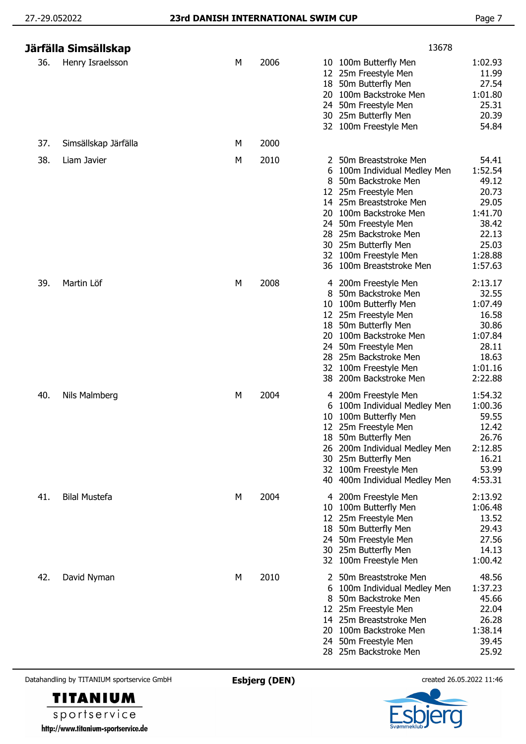## 27.-29.052022 **23rd DANISH INTERNATIONAL SWIM CUP** Page 7

|     | Järfälla Simsällskap |   |      | 13678                                                                                                                                                                                                                                                                                                                                                                                                                        |
|-----|----------------------|---|------|------------------------------------------------------------------------------------------------------------------------------------------------------------------------------------------------------------------------------------------------------------------------------------------------------------------------------------------------------------------------------------------------------------------------------|
| 36. | Henry Israelsson     | М | 2006 | 1:02.93<br>10 100m Butterfly Men<br>12 25m Freestyle Men<br>11.99<br>27.54<br>18 50m Butterfly Men<br>1:01.80<br>20 100m Backstroke Men<br>25.31<br>24 50m Freestyle Men<br>20.39<br>30 25m Butterfly Men<br>54.84<br>32 100m Freestyle Men                                                                                                                                                                                  |
| 37. | Simsällskap Järfälla | М | 2000 |                                                                                                                                                                                                                                                                                                                                                                                                                              |
| 38. | Liam Javier          | М | 2010 | 54.41<br>2 50m Breaststroke Men<br>1:52.54<br>100m Individual Medley Men<br>6<br>49.12<br>8<br>50m Backstroke Men<br>20.73<br>25m Freestyle Men<br>12<br>29.05<br>14 25m Breaststroke Men<br>1:41.70<br>100m Backstroke Men<br>20<br>38.42<br>50m Freestyle Men<br>24<br>22.13<br>25m Backstroke Men<br>28<br>25.03<br>25m Butterfly Men<br>30<br>1:28.88<br>100m Freestyle Men<br>32<br>1:57.63<br>36 100m Breaststroke Men |
| 39. | Martin Löf           | М | 2008 | 2:13.17<br>4 200m Freestyle Men<br>50m Backstroke Men<br>32.55<br>8<br>1:07.49<br>10 100m Butterfly Men<br>16.58<br>12 25m Freestyle Men<br>30.86<br>18 50m Butterfly Men<br>100m Backstroke Men<br>1:07.84<br>20<br>28.11<br>50m Freestyle Men<br>24<br>28 25m Backstroke Men<br>18.63<br>1:01.16<br>32 100m Freestyle Men<br>38 200m Backstroke Men<br>2:22.88                                                             |
| 40. | Nils Malmberg        | М | 2004 | 4 200m Freestyle Men<br>1:54.32<br>1:00.36<br>100m Individual Medley Men<br>6<br>59.55<br>100m Butterfly Men<br>10<br>12.42<br>12 25m Freestyle Men<br>18 50m Butterfly Men<br>26.76<br>2:12.85<br>200m Individual Medley Men<br>26<br>16.21<br>30 25m Butterfly Men<br>53.99<br>32 100m Freestyle Men<br>4:53.31<br>40 400m Individual Medley Men                                                                           |
| 41. | <b>Bilal Mustefa</b> | М | 2004 | 2:13.92<br>4 200m Freestyle Men<br>1:06.48<br>100m Butterfly Men<br>10<br>13.52<br>25m Freestyle Men<br>12<br>29.43<br>18 50m Butterfly Men<br>27.56<br>50m Freestyle Men<br>24<br>14.13<br>30 25m Butterfly Men<br>1:00.42<br>32 100m Freestyle Men                                                                                                                                                                         |
| 42. | David Nyman          | М | 2010 | 50m Breaststroke Men<br>48.56<br>2<br>1:37.23<br>100m Individual Medley Men<br>6<br>45.66<br>50m Backstroke Men<br>8<br>22.04<br>25m Freestyle Men<br>12<br>14 25m Breaststroke Men<br>26.28<br>1:38.14<br>20 100m Backstroke Men<br>39.45<br>24 50m Freestyle Men<br>28 25m Backstroke Men<br>25.92                                                                                                                         |

Datahandling by TITANIUM sportservice GmbH **Esbjerg (DEN)** created 26.05.2022 11:46

**TITANIUM** sportservice http://www.titanium-sportservice.de

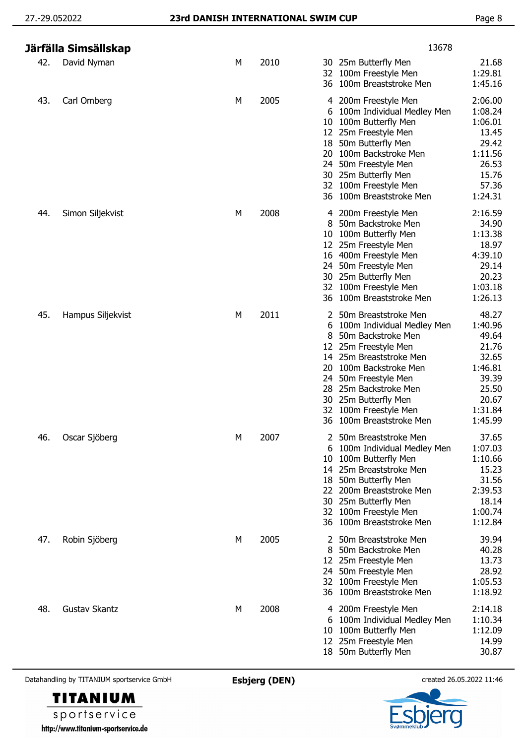|     | Järfälla Simsällskap |   |      | 13678                                                                                                                                                                                                                                                                                                                                                                                                                      |
|-----|----------------------|---|------|----------------------------------------------------------------------------------------------------------------------------------------------------------------------------------------------------------------------------------------------------------------------------------------------------------------------------------------------------------------------------------------------------------------------------|
| 42. | David Nyman          | М | 2010 | 21.68<br>30 25m Butterfly Men<br>1:29.81<br>32 100m Freestyle Men<br>36 100m Breaststroke Men<br>1:45.16                                                                                                                                                                                                                                                                                                                   |
| 43. | Carl Omberg          | М | 2005 | 2:06.00<br>4 200m Freestyle Men<br>1:08.24<br>100m Individual Medley Men<br>6<br>100m Butterfly Men<br>1:06.01<br>10<br>12 25m Freestyle Men<br>13.45<br>29.42<br>50m Butterfly Men<br>18<br>100m Backstroke Men<br>1:11.56<br>20<br>50m Freestyle Men<br>26.53<br>24<br>15.76<br>30 25m Butterfly Men<br>57.36<br>100m Freestyle Men<br>32<br>1:24.31<br>100m Breaststroke Men<br>36                                      |
| 44. | Simon Siljekvist     | М | 2008 | 2:16.59<br>4 200m Freestyle Men<br>50m Backstroke Men<br>34.90<br>1:13.38<br>100m Butterfly Men<br>10<br>18.97<br>25m Freestyle Men<br>12<br>16 400m Freestyle Men<br>4:39.10<br>29.14<br>50m Freestyle Men<br>24.<br>20.23<br>25m Butterfly Men<br>30<br>100m Freestyle Men<br>1:03.18<br>32<br>100m Breaststroke Men<br>1:26.13<br>36                                                                                    |
| 45. | Hampus Siljekvist    | М | 2011 | 48.27<br>2 50m Breaststroke Men<br>1:40.96<br>100m Individual Medley Men<br>6<br>50m Backstroke Men<br>49.64<br>8<br>25m Freestyle Men<br>21.76<br>12<br>14 25m Breaststroke Men<br>32.65<br>1:46.81<br>100m Backstroke Men<br>20.<br>39.39<br>50m Freestyle Men<br>24<br>25m Backstroke Men<br>25.50<br>28<br>30 25m Butterfly Men<br>20.67<br>100m Freestyle Men<br>1:31.84<br>32<br>36 100m Breaststroke Men<br>1:45.99 |
| 46. | Oscar Sjöberg        | М | 2007 | 50m Breaststroke Men<br>37.65<br>2<br>1:07.03<br>100m Individual Medley Men<br>6<br>1:10.66<br>100m Butterfly Men<br>10<br>15.23<br>14 25m Breaststroke Men<br>31.56<br>18 50m Butterfly Men<br>2:39.53<br>22 200m Breaststroke Men<br>18.14<br>30 25m Butterfly Men<br>32 100m Freestyle Men<br>1:00.74<br>1:12.84<br>36 100m Breaststroke Men                                                                            |
| 47. | Robin Sjöberg        | М | 2005 | 50m Breaststroke Men<br>39.94<br>50m Backstroke Men<br>40.28<br>13.73<br>12 25m Freestyle Men<br>28.92<br>24 50m Freestyle Men<br>32 100m Freestyle Men<br>1:05.53<br>36 100m Breaststroke Men<br>1:18.92                                                                                                                                                                                                                  |
| 48. | <b>Gustav Skantz</b> | М | 2008 | 4 200m Freestyle Men<br>2:14.18<br>1:10.34<br>6 100m Individual Medley Men<br>1:12.09<br>100m Butterfly Men<br>10<br>14.99<br>12 25m Freestyle Men<br>30.87<br>18 50m Butterfly Men                                                                                                                                                                                                                                        |

**TITANIUM** sportservice http://www.titanium-sportservice.de

er g